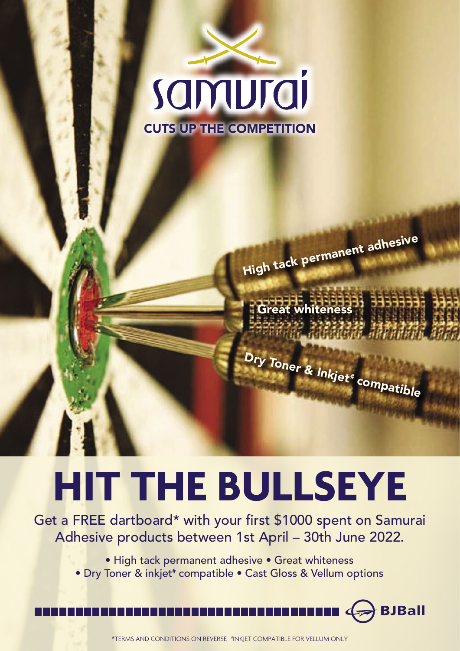

High tack permanent adhesive

whiteness

Dry Toner & Inkjet# compatible

## **HIT THE BULLSEYE**

Get a FREE dartboard\* with your first \$1000 spent on Samurai Adhesive products between 1st April – 30th June 2022.

- High tack permanent adhesive Great whiteness
- Dry Toner & inkjet# compatible Cast Gloss & Vellum options



\*TERMS AND CONDITIONS ON REVERSE #INKJET COMPATIBLE FOR VELLUM ONLY